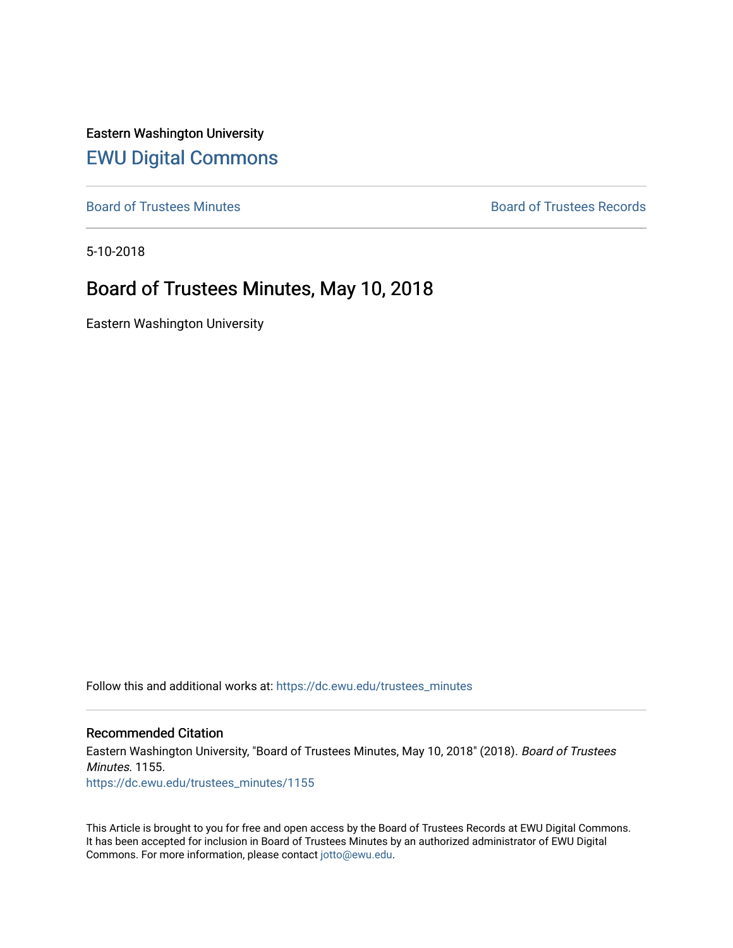Eastern Washington University [EWU Digital Commons](https://dc.ewu.edu/)

[Board of Trustees Minutes](https://dc.ewu.edu/trustees_minutes) **Board of Trustees Records Board of Trustees Records** 

5-10-2018

# Board of Trustees Minutes, May 10, 2018

Eastern Washington University

Follow this and additional works at: [https://dc.ewu.edu/trustees\\_minutes](https://dc.ewu.edu/trustees_minutes?utm_source=dc.ewu.edu%2Ftrustees_minutes%2F1155&utm_medium=PDF&utm_campaign=PDFCoverPages) 

#### Recommended Citation

Eastern Washington University, "Board of Trustees Minutes, May 10, 2018" (2018). Board of Trustees Minutes. 1155. [https://dc.ewu.edu/trustees\\_minutes/1155](https://dc.ewu.edu/trustees_minutes/1155?utm_source=dc.ewu.edu%2Ftrustees_minutes%2F1155&utm_medium=PDF&utm_campaign=PDFCoverPages) 

This Article is brought to you for free and open access by the Board of Trustees Records at EWU Digital Commons. It has been accepted for inclusion in Board of Trustees Minutes by an authorized administrator of EWU Digital Commons. For more information, please contact [jotto@ewu.edu.](mailto:jotto@ewu.edu)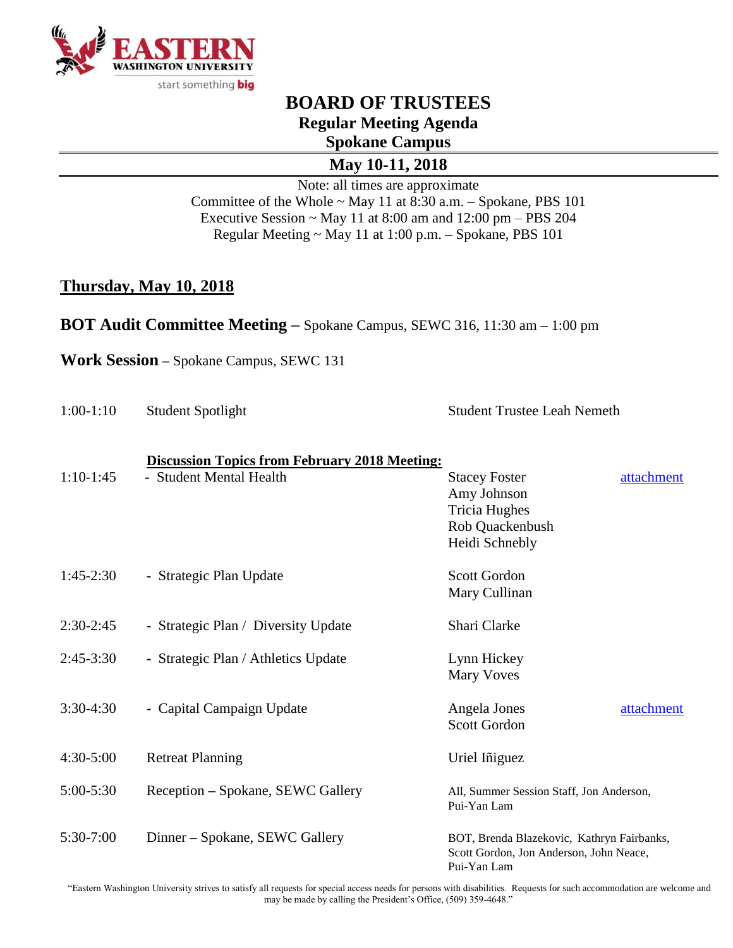

# **BOARD OF TRUSTEES Regular Meeting Agenda Spokane Campus**

**May 10-11, 2018**

Note: all times are approximate Committee of the Whole ~ May 11 at 8:30 a.m. – Spokane, PBS 101 Executive Session  $\sim$  May 11 at 8:00 am and 12:00 pm – PBS 204 Regular Meeting ~ May 11 at 1:00 p.m. – Spokane, PBS 101

#### **Thursday, May 10, 2018**

**BOT Audit Committee Meeting –** Spokane Campus, SEWC 316, 11:30 am – 1:00 pm

**Work Session –** Spokane Campus, SEWC 131

| $1:00-1:10$   | <b>Student Spotlight</b>                                                        | <b>Student Trustee Leah Nemeth</b>                                                                             |  |  |
|---------------|---------------------------------------------------------------------------------|----------------------------------------------------------------------------------------------------------------|--|--|
| $1:10-1:45$   | <b>Discussion Topics from February 2018 Meeting:</b><br>- Student Mental Health | attachment<br><b>Stacey Foster</b><br>Amy Johnson<br><b>Tricia Hughes</b><br>Rob Quackenbush<br>Heidi Schnebly |  |  |
| $1:45-2:30$   | - Strategic Plan Update                                                         | Scott Gordon<br>Mary Cullinan                                                                                  |  |  |
| $2:30-2:45$   | - Strategic Plan / Diversity Update                                             | Shari Clarke                                                                                                   |  |  |
| $2:45-3:30$   | - Strategic Plan / Athletics Update                                             | Lynn Hickey<br><b>Mary Voves</b>                                                                               |  |  |
| $3:30-4:30$   | - Capital Campaign Update                                                       | Angela Jones<br>attachment<br><b>Scott Gordon</b>                                                              |  |  |
| $4:30 - 5:00$ | <b>Retreat Planning</b>                                                         | Uriel Iniguez                                                                                                  |  |  |
| 5:00-5:30     | Reception – Spokane, SEWC Gallery                                               | All, Summer Session Staff, Jon Anderson,<br>Pui-Yan Lam                                                        |  |  |
| 5:30-7:00     | Dinner – Spokane, SEWC Gallery                                                  | BOT, Brenda Blazekovic, Kathryn Fairbanks,<br>Scott Gordon, Jon Anderson, John Neace,<br>Pui-Yan Lam           |  |  |

"Eastern Washington University strives to satisfy all requests for special access needs for persons with disabilities. Requests for such accommodation are welcome and may be made by calling the President's Office, (509) 359-4648."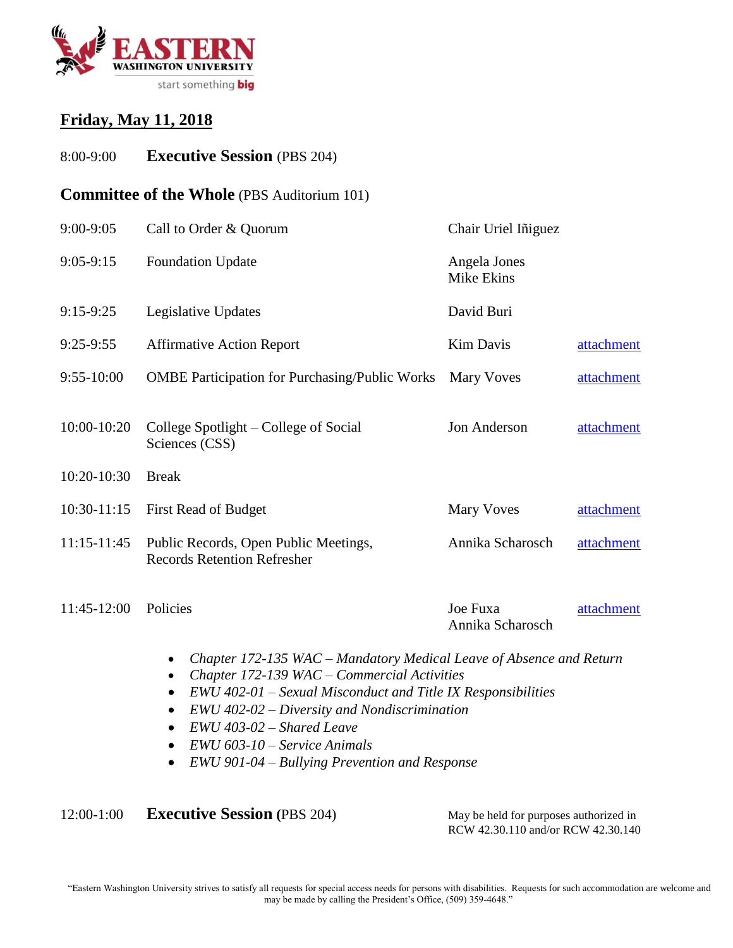

#### **Friday, May 11, 2018**

8:00-9:00 **Executive Session** (PBS 204)

#### **Committee of the Whole** (PBS Auditorium 101)

| 9:00-9:05       | Call to Order & Quorum<br>Chair Uriel Iñiguez                               |                              |            |
|-----------------|-----------------------------------------------------------------------------|------------------------------|------------|
| $9:05-9:15$     | <b>Foundation Update</b>                                                    | Angela Jones<br>Mike Ekins   |            |
| $9:15-9:25$     | Legislative Updates                                                         | David Buri                   |            |
| $9:25-9:55$     | <b>Affirmative Action Report</b>                                            | <b>Kim Davis</b>             | attachment |
| $9:55 - 10:00$  | <b>OMBE Participation for Purchasing/Public Works</b>                       | Mary Voves                   | attachment |
| 10:00-10:20     | College Spotlight – College of Social<br>Sciences (CSS)                     | Jon Anderson                 | attachment |
| 10:20-10:30     | <b>Break</b>                                                                |                              |            |
| $10:30-11:15$   | First Read of Budget                                                        | <b>Mary Voves</b>            | attachment |
| $11:15 - 11:45$ | Public Records, Open Public Meetings,<br><b>Records Retention Refresher</b> | Annika Scharosch             | attachment |
| 11:45-12:00     | Policies                                                                    | Joe Fuxa<br>Annika Scharosch | attachment |

- *Chapter 172-135 WAC – Mandatory Medical Leave of Absence and Return*
- *Chapter 172-139 WAC – Commercial Activities*
- *EWU 402-01 – Sexual Misconduct and Title IX Responsibilities*
- *EWU 402-02 – Diversity and Nondiscrimination*
- *EWU 403-02 – Shared Leave*
- *EWU 603-10 – Service Animals*
- *EWU 901-04 – Bullying Prevention and Response*

12:00-1:00 **Executive Session** (PBS 204) May be held for purposes authorized in

RCW 42.30.110 and/or RCW 42.30.140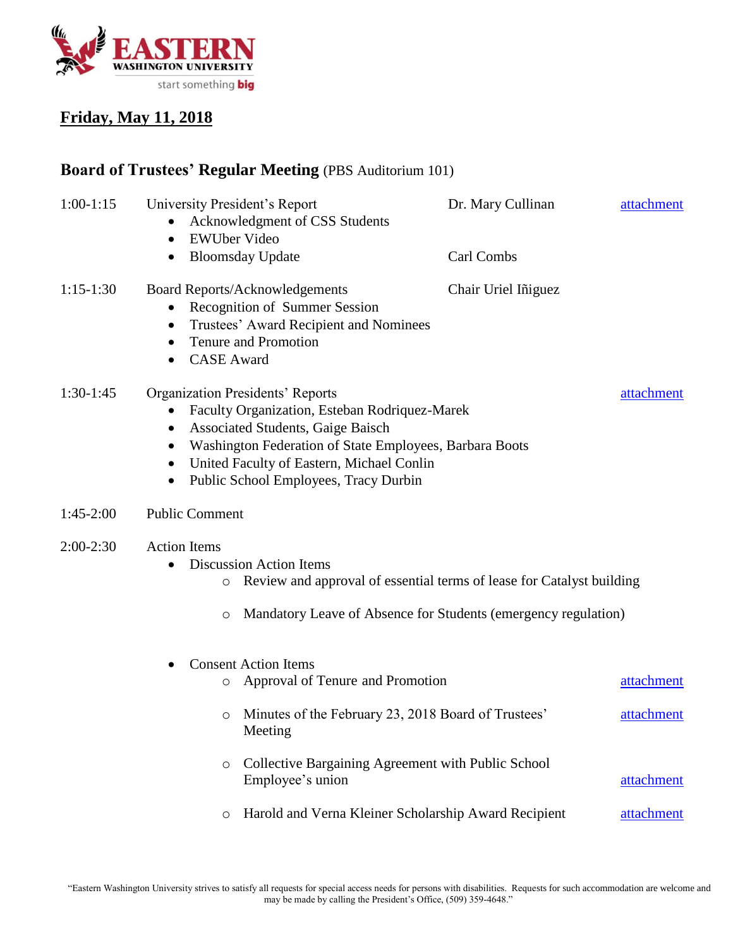

#### **Friday, May 11, 2018**

# **Board of Trustees' Regular Meeting** (PBS Auditorium 101)

| $1:00-1:15$ | University President's Report<br><b>EWUber Video</b><br>$\bullet$<br>$\bullet$                                                                                                                                                                                                                                                           | Acknowledgment of CSS Students<br><b>Bloomsday Update</b>                                                                                       | Dr. Mary Cullinan<br>Carl Combs | attachment |  |  |
|-------------|------------------------------------------------------------------------------------------------------------------------------------------------------------------------------------------------------------------------------------------------------------------------------------------------------------------------------------------|-------------------------------------------------------------------------------------------------------------------------------------------------|---------------------------------|------------|--|--|
| $1:15-1:30$ | $\bullet$<br>$\bullet$<br><b>CASE</b> Award                                                                                                                                                                                                                                                                                              | <b>Board Reports/Acknowledgements</b><br>Recognition of Summer Session<br>Trustees' Award Recipient and Nominees<br><b>Tenure and Promotion</b> | Chair Uriel Iniguez             |            |  |  |
| $1:30-1:45$ | <b>Organization Presidents' Reports</b><br>attachment<br>Faculty Organization, Esteban Rodriquez-Marek<br>٠<br>Associated Students, Gaige Baisch<br>$\bullet$<br>Washington Federation of State Employees, Barbara Boots<br>United Faculty of Eastern, Michael Conlin<br>$\bullet$<br>Public School Employees, Tracy Durbin<br>$\bullet$ |                                                                                                                                                 |                                 |            |  |  |
| $1:45-2:00$ | <b>Public Comment</b>                                                                                                                                                                                                                                                                                                                    |                                                                                                                                                 |                                 |            |  |  |
| $2:00-2:30$ | <b>Action Items</b><br><b>Discussion Action Items</b><br>$\bullet$<br>Review and approval of essential terms of lease for Catalyst building<br>O<br>Mandatory Leave of Absence for Students (emergency regulation)<br>$\circ$                                                                                                            |                                                                                                                                                 |                                 |            |  |  |
|             | O                                                                                                                                                                                                                                                                                                                                        | <b>Consent Action Items</b><br>Approval of Tenure and Promotion                                                                                 |                                 | attachment |  |  |
|             | O                                                                                                                                                                                                                                                                                                                                        | Minutes of the February 23, 2018 Board of Trustees'<br>Meeting                                                                                  |                                 | attachment |  |  |
|             | O                                                                                                                                                                                                                                                                                                                                        | Collective Bargaining Agreement with Public School<br>Employee's union                                                                          |                                 | attachment |  |  |
|             | $\circ$                                                                                                                                                                                                                                                                                                                                  | Harold and Verna Kleiner Scholarship Award Recipient                                                                                            |                                 | attachment |  |  |